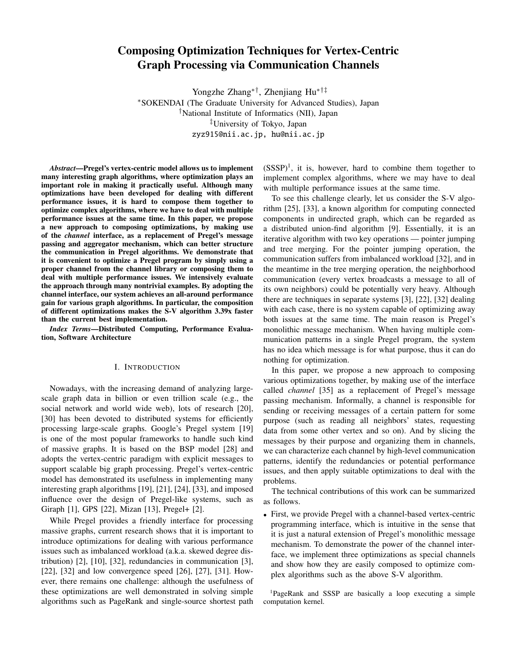# Composing Optimization Techniques for Vertex-Centric Graph Processing via Communication Channels

Yongzhe Zhang∗†, Zhenjiang Hu∗†‡ <sup>∗</sup>SOKENDAI (The Graduate University for Advanced Studies), Japan †National Institute of Informatics (NII), Japan ‡University of Tokyo, Japan zyz915@nii.ac.jp, hu@nii.ac.jp

*Abstract*—Pregel's vertex-centric model allows us to implement many interesting graph algorithms, where optimization plays an important role in making it practically useful. Although many optimizations have been developed for dealing with different performance issues, it is hard to compose them together to optimize complex algorithms, where we have to deal with multiple performance issues at the same time. In this paper, we propose a new approach to composing optimizations, by making use of the *channel* interface, as a replacement of Pregel's message passing and aggregator mechanism, which can better structure the communication in Pregel algorithms. We demonstrate that it is convenient to optimize a Pregel program by simply using a proper channel from the channel library or composing them to deal with multiple performance issues. We intensively evaluate the approach through many nontrivial examples. By adopting the channel interface, our system achieves an all-around performance gain for various graph algorithms. In particular, the composition of different optimizations makes the S-V algorithm 3.39x faster than the current best implementation.

*Index Terms*—Distributed Computing, Performance Evaluation, Software Architecture

# I. INTRODUCTION

Nowadays, with the increasing demand of analyzing largescale graph data in billion or even trillion scale (e.g., the social network and world wide web), lots of research [\[20\]](#page-10-0), [\[30\]](#page-10-1) has been devoted to distributed systems for efficiently processing large-scale graphs. Google's Pregel system [\[19\]](#page-10-2) is one of the most popular frameworks to handle such kind of massive graphs. It is based on the BSP model [\[28\]](#page-10-3) and adopts the vertex-centric paradigm with explicit messages to support scalable big graph processing. Pregel's vertex-centric model has demonstrated its usefulness in implementing many interesting graph algorithms [\[19\]](#page-10-2), [\[21\]](#page-10-4), [\[24\]](#page-10-5), [\[33\]](#page-10-6), and imposed influence over the design of Pregel-like systems, such as Giraph [\[1\]](#page-10-7), GPS [\[22\]](#page-10-8), Mizan [\[13\]](#page-10-9), Pregel+ [\[2\]](#page-10-10).

While Pregel provides a friendly interface for processing massive graphs, current research shows that it is important to introduce optimizations for dealing with various performance issues such as imbalanced workload (a.k.a. skewed degree distribution) [\[2\]](#page-10-10), [\[10\]](#page-10-11), [\[32\]](#page-10-12), redundancies in communication [\[3\]](#page-10-13), [\[22\]](#page-10-8), [\[32\]](#page-10-12) and low convergence speed [\[26\]](#page-10-14), [\[27\]](#page-10-15), [\[31\]](#page-10-16). However, there remains one challenge: although the usefulness of these optimizations are well demonstrated in solving simple algorithms such as PageRank and single-source shortest path

 $(SSSP)^1$  $(SSSP)^1$ , it is, however, hard to combine them together to implement complex algorithms, where we may have to deal with multiple performance issues at the same time.

To see this challenge clearly, let us consider the S-V algorithm [\[25\]](#page-10-17), [\[33\]](#page-10-6), a known algorithm for computing connected components in undirected graph, which can be regarded as a distributed union-find algorithm [\[9\]](#page-10-18). Essentially, it is an iterative algorithm with two key operations — pointer jumping and tree merging. For the pointer jumping operation, the communication suffers from imbalanced workload [\[32\]](#page-10-12), and in the meantime in the tree merging operation, the neighborhood communication (every vertex broadcasts a message to all of its own neighbors) could be potentially very heavy. Although there are techniques in separate systems [\[3\]](#page-10-13), [\[22\]](#page-10-8), [\[32\]](#page-10-12) dealing with each case, there is no system capable of optimizing away both issues at the same time. The main reason is Pregel's monolithic message mechanism. When having multiple communication patterns in a single Pregel program, the system has no idea which message is for what purpose, thus it can do nothing for optimization.

In this paper, we propose a new approach to composing various optimizations together, by making use of the interface called *channel* [\[35\]](#page-10-19) as a replacement of Pregel's message passing mechanism. Informally, a channel is responsible for sending or receiving messages of a certain pattern for some purpose (such as reading all neighbors' states, requesting data from some other vertex and so on). And by slicing the messages by their purpose and organizing them in channels, we can characterize each channel by high-level communication patterns, identify the redundancies or potential performance issues, and then apply suitable optimizations to deal with the problems.

The technical contributions of this work can be summarized as follows.

• First, we provide Pregel with a channel-based vertex-centric programming interface, which is intuitive in the sense that it is just a natural extension of Pregel's monolithic message mechanism. To demonstrate the power of the channel interface, we implement three optimizations as special channels and show how they are easily composed to optimize complex algorithms such as the above S-V algorithm.

<span id="page-0-0"></span><sup>1</sup>PageRank and SSSP are basically a loop executing a simple computation kernel.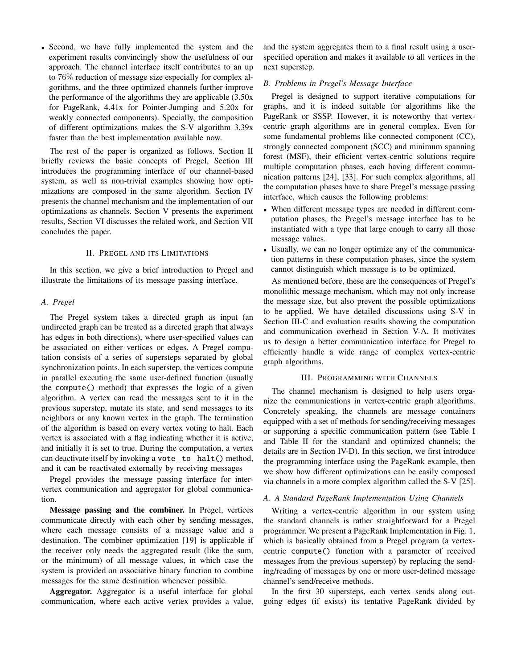• Second, we have fully implemented the system and the experiment results convincingly show the usefulness of our approach. The channel interface itself contributes to an up to 76% reduction of message size especially for complex algorithms, and the three optimized channels further improve the performance of the algorithms they are applicable (3.50x for PageRank, 4.41x for Pointer-Jumping and 5.20x for weakly connected components). Specially, the composition of different optimizations makes the S-V algorithm 3.39x faster than the best implementation available now.

The rest of the paper is organized as follows. [Section II](#page-1-0) briefly reviews the basic concepts of Pregel, [Section III](#page-1-1) introduces the programming interface of our channel-based system, as well as non-trivial examples showing how optimizations are composed in the same algorithm. [Section IV](#page-3-0) presents the channel mechanism and the implementation of our optimizations as channels. [Section V](#page-6-0) presents the experiment results, [Section VI](#page-9-0) discusses the related work, and [Section VII](#page-9-1) concludes the paper.

#### II. PREGEL AND ITS LIMITATIONS

<span id="page-1-0"></span>In this section, we give a brief introduction to Pregel and illustrate the limitations of its message passing interface.

#### *A. Pregel*

The Pregel system takes a directed graph as input (an undirected graph can be treated as a directed graph that always has edges in both directions), where user-specified values can be associated on either vertices or edges. A Pregel computation consists of a series of supersteps separated by global synchronization points. In each superstep, the vertices compute in parallel executing the same user-defined function (usually the compute() method) that expresses the logic of a given algorithm. A vertex can read the messages sent to it in the previous superstep, mutate its state, and send messages to its neighbors or any known vertex in the graph. The termination of the algorithm is based on every vertex voting to halt. Each vertex is associated with a flag indicating whether it is active, and initially it is set to true. During the computation, a vertex can deactivate itself by invoking a vote to halt() method, and it can be reactivated externally by receiving messages

Pregel provides the message passing interface for intervertex communication and aggregator for global communication.

Message passing and the combiner. In Pregel, vertices communicate directly with each other by sending messages, where each message consists of a message value and a destination. The combiner optimization [\[19\]](#page-10-2) is applicable if the receiver only needs the aggregated result (like the sum, or the minimum) of all message values, in which case the system is provided an associative binary function to combine messages for the same destination whenever possible.

Aggregator. Aggregator is a useful interface for global communication, where each active vertex provides a value, and the system aggregates them to a final result using a userspecified operation and makes it available to all vertices in the next superstep.

# *B. Problems in Pregel's Message Interface*

Pregel is designed to support iterative computations for graphs, and it is indeed suitable for algorithms like the PageRank or SSSP. However, it is noteworthy that vertexcentric graph algorithms are in general complex. Even for some fundamental problems like connected component (CC), strongly connected component (SCC) and minimum spanning forest (MSF), their efficient vertex-centric solutions require multiple computation phases, each having different communication patterns [\[24\]](#page-10-5), [\[33\]](#page-10-6). For such complex algorithms, all the computation phases have to share Pregel's message passing interface, which causes the following problems:

- When different message types are needed in different computation phases, the Pregel's message interface has to be instantiated with a type that large enough to carry all those message values.
- Usually, we can no longer optimize any of the communication patterns in these computation phases, since the system cannot distinguish which message is to be optimized.

As mentioned before, these are the consequences of Pregel's monolithic message mechanism, which may not only increase the message size, but also prevent the possible optimizations to be applied. We have detailed discussions using S-V in [Section III-C](#page-3-1) and evaluation results showing the computation and communication overhead in [Section V-A.](#page-6-1) It motivates us to design a better communication interface for Pregel to efficiently handle a wide range of complex vertex-centric graph algorithms.

#### III. PROGRAMMING WITH CHANNELS

<span id="page-1-1"></span>The channel mechanism is designed to help users organize the communications in vertex-centric graph algorithms. Concretely speaking, the channels are message containers equipped with a set of methods for sending/receiving messages or supporting a specific communication pattern (see [Table I](#page-2-0) and [Table II](#page-2-1) for the standard and optimized channels; the details are in [Section IV-D\)](#page-4-0). In this section, we first introduce the programming interface using the PageRank example, then we show how different optimizations can be easily composed via channels in a more complex algorithm called the S-V [\[25\]](#page-10-17).

# *A. A Standard PageRank Implementation Using Channels*

Writing a vertex-centric algorithm in our system using the standard channels is rather straightforward for a Pregel programmer. We present a PageRank Implementation in [Fig. 1,](#page-2-2) which is basically obtained from a Pregel program (a vertexcentric compute() function with a parameter of received messages from the previous superstep) by replacing the sending/reading of messages by one or more user-defined message channel's send/receive methods.

In the first 30 supersteps, each vertex sends along outgoing edges (if exists) its tentative PageRank divided by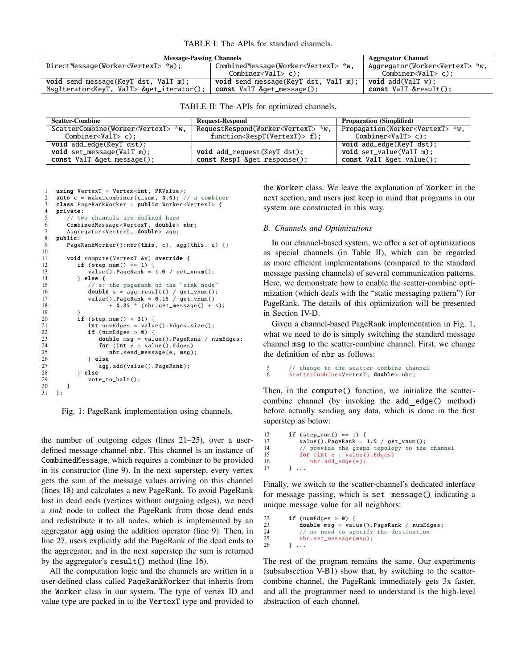TABLE I: The APIs for standard channels.

<span id="page-2-0"></span>

| <b>Message-Passing Channels</b>                          | <b>Aggregator Channel</b>                   |                             |
|----------------------------------------------------------|---------------------------------------------|-----------------------------|
| DirectMessage(Worker <vertext> *w);</vertext>            | Aggregator(Worker <vertext> *w,</vertext>   |                             |
|                                                          | $Combiner < ValT < c):$                     |                             |
| <b>void</b> send_message(KeyT dst, ValT m);              | <b>void</b> send_message(KeyT dst, ValT m); | <b>void</b> $add(VaIT v)$ ; |
| MsgIterator <keyt, valt=""> &amp;get_iterator();</keyt,> | const ValT &get_message();                  | const ValT &result();       |

|  |  |  |  |  | TABLE II: The APIs for optimized channels. |  |
|--|--|--|--|--|--------------------------------------------|--|
|--|--|--|--|--|--------------------------------------------|--|

<span id="page-2-1"></span>

| <b>Scatter-Combine</b>                        | <b>Request-Respond</b>                        | <b>Propagation (Simplified)</b>            |
|-----------------------------------------------|-----------------------------------------------|--------------------------------------------|
| ScatterCombine(Worker <vertext> *w,</vertext> | RequestRespond(Worker <vertext> *w,</vertext> | Propagation(Worker <vertext> *w,</vertext> |
| $Combiner < ValT < c):$                       | $function <$ RespT(VertexT)> $f$ );           | $Combiner<$ ValT $> c$ );                  |
| <b>void</b> add_edge(KeyT dst);               |                                               | <b>void</b> add_edge(KeyT dst);            |
| <b>void</b> set_message(ValT m);              | <b>void</b> add_request(KeyT dst);            | $void set_value(ValT m):$                  |
| const ValT &get_message();                    | const RespT &get_response();                  | const ValT &get_value();                   |

```
1 using VertexT = Vertex<int, PRValue>;<br>2 auto c = make combiner(c sum, 0.0): /
 2 auto c = make_combiner (c_sum, 0.0); // a combiner<br>3 class PageRankWorker : nublic Worker<VertexT> {
      class PageRankWorker : public Worker<VertexT> {
 4 private:<br>5 // tw// two channels are defined here
 6 CombinedMessage<VertexT, double> nbr;<br>7 Aggregator<VertexT, double> agg:
 7 Aggregator<VertexT, double> agg;<br>8 public:
 \begin{array}{cc}\n 8 & \text{public:} \\
 9 & \text{Page}\n \end{array}PageRankWorker(): nbr(this, c), agg(this, c) {}
\begin{array}{c} 10 \\ 11 \end{array}11 void compute(VertexT &v) override {<br>12 if (step num() == 1) {
12 \mathbf{if} \text{ (step\_num() == 1) }{<br>13 \text{value()}\text{.PaqeRank = 1}13 value (). PageRank = 1.0 / get_vnum ();<br>14 } else {
14 } else {<br>15 // s:
                    1/ s: the pagerank of the "sink node"
16 double s = agg.result () / get_vnum ();
17 value (). PageRank = 0.15 / get_vnum ()
18 + 0.85 * (nbr.get_message() + s);\frac{19}{20}20 if (step_name() < 31) {<br>21 int numEdges = value21 int numEdges = value (). Edges.size ();<br>22 if (numEdges > 0) {
22 if (numEdges > 0) {<br>23 double msa = val23 double msg = value (). PageRank / numEdges;<br>24 for (int e : value (). Edges)
24 for (int e : value (). Edges)<br>25 https://www.philophysis.org/effect/integrate
25 \frac{1}{26} nbr. send_message (e, msg);
26 } else<br>27 ago
27 agg.add(value().PageRank);<br>28 } else
28 } else<br>29 \frac{1}{2}vote_to_halt();
30 }
31 - 3:
```
Fig. 1: PageRank implementation using channels.

the number of outgoing edges (lines 21–25), over a userdefined message channel nbr. This channel is an instance of CombinedMessage, which requires a combiner to be provided in its constructor (line 9). In the next superstep, every vertex gets the sum of the message values arriving on this channel (lines 18) and calculates a new PageRank. To avoid PageRank lost in dead ends (vertices without outgoing edges), we need a *sink* node to collect the PageRank from those dead ends and redistribute it to all nodes, which is implemented by an aggregator agg using the addition operator (line 9). Then, in line 27, users explicitly add the PageRank of the dead ends to the aggregator, and in the next superstep the sum is returned by the aggregator's result() method (line 16).

All the computation logic and the channels are written in a user-defined class called PageRankWorker that inherits from the Worker class in our system. The type of vertex ID and value type are packed in to the VertexT type and provided to the Worker class. We leave the explanation of Worker in the next section, and users just keep in mind that programs in our system are constructed in this way.

## *B. Channels and Optimizations*

In our channel-based system, we offer a set of optimizations as special channels (in [Table II\)](#page-2-1), which can be regarded as more efficient implementations (compared to the standard message passing channels) of several communication patterns. Here, we demonstrate how to enable the scatter-combine optimization (which deals with the "static messaging pattern") for PageRank. The details of this optimization will be presented in [Section IV-D.](#page-4-0)

Given a channel-based PageRank implementation in [Fig. 1,](#page-2-2) what we need to do is simply switching the standard message channel msg to the scatter-combine channel. First, we change the definition of nbr as follows:

```
5 // change to the scatter-combine channel<br>6 Scatter Combine<VertexT double> nbr:
          ..<br>ScatterCombine<VertexT, double> nbr;
```
Then, in the compute() function, we initialize the scattercombine channel (by invoking the add edge() method) before actually sending any data, which is done in the first superstep as below:

```
12 if (step_num () == 1) {<br>13 value(). PageRank = 1
13 value (). PageRank = 1.0 / get_vnum ();<br>14 // provide the graph topology to the
14 // provide the graph topology to the channel<br>15 for (inte: value(). Edges)
                                   for (int e : value (). Edges)
16 nbr.add_edge(e);
17 \quad \frac{1}{2} \quad \frac{1}{2} \quad \frac{1}{2} \quad \frac{1}{2} \quad \frac{1}{2} \quad \frac{1}{2} \quad \frac{1}{2} \quad \frac{1}{2} \quad \frac{1}{2} \quad \frac{1}{2} \quad \frac{1}{2} \quad \frac{1}{2} \quad \frac{1}{2} \quad \frac{1}{2} \quad \frac{1}{2} \quad \frac{1}{2} \quad \frac{1}{2} \quad \frac{1}{2} \quad \frac{1}{2} \quad \frac{1}{2} \quad \frac{1}{2} \quad \frac{1}{2} \quad \frac{1}{2} \quad \frac{1}{2} \quad
```
Finally, we switch to the scatter-channel's dedicated interface for message passing, which is set message() indicating a unique message value for all neighbors:

```
22 if (numEdges > 0) {<br>23 double msa = valy
23 double msg = value (). PageRank / numEdges;<br>24 // no need to specify the destination
24 // no need to specify the destination<br>25 mbr.set message (msg):
               nbr.set_message(msg);
26 } ...
```
The rest of the program remains the same. Our experiments [\(subsubsection V-B1\)](#page-7-0) show that, by switching to the scattercombine channel, the PageRank immediately gets 3x faster, and all the programmer need to understand is the high-level abstraction of each channel.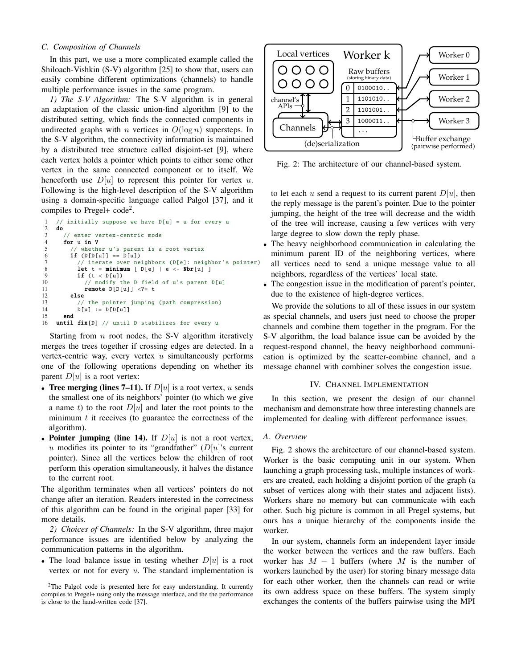# <span id="page-3-1"></span>*C. Composition of Channels*

In this part, we use a more complicated example called the Shiloach-Vishkin (S-V) algorithm [\[25\]](#page-10-17) to show that, users can easily combine different optimizations (channels) to handle multiple performance issues in the same program.

*1) The S-V Algorithm:* The S-V algorithm is in general an adaptation of the classic union-find algorithm [\[9\]](#page-10-18) to the distributed setting, which finds the connected components in undirected graphs with *n* vertices in  $O(\log n)$  supersteps. In the S-V algorithm, the connectivity information is maintained by a distributed tree structure called disjoint-set [\[9\]](#page-10-18), where each vertex holds a pointer which points to either some other vertex in the same connected component or to itself. We henceforth use  $D[u]$  to represent this pointer for vertex u. Following is the high-level description of the S-V algorithm using a domain-specific language called Palgol [\[37\]](#page-10-20), and it compiles to Pregel+ code<sup>[2](#page-3-2)</sup>.

```
1 // initially suppose we have D[u] = u for every u
 \begin{matrix} 2 & \mathbf{do} \\ 3 & \mathbf{do} \end{matrix}3 // enter vertex-centric mode<br>4 for u in V
 4 for u in V<br>5 // whether
 5 // whether u's parent is a root vertex<br>6 if (D[D[u]] == D[u])
 6 if (D[D[u]] == D[u])<br>
\frac{1}{2} // iterate over ne
 7 // iterate over neighbors (D[e]: neighbor's pointer)<br>8 let t = minimum [ D[e] | e <- Nbr[u] ]
 8 let t = minimum [ D[e] | e <- Nbr[u] ]<br>9 if (t < D[u])9 if (t < D[u])<br>10 // modify tl
                 // modify the D field of u's parent D[u]
11 remote D[D[u]] \leq ? = t<br>12 else
12 else<br>13 //
13 // the pointer jumping (path compression)<br>14 D[u] := D[D[u]]
14 D[u] := D[D[u]]<br>15 end
        end
16 until fix[D] // until D stabilizes for every u
```
Starting from  $n$  root nodes, the S-V algorithm iteratively merges the trees together if crossing edges are detected. In a vertex-centric way, every vertex  $u$  simultaneously performs one of the following operations depending on whether its parent  $D[u]$  is a root vertex:

- Tree merging (lines 7–11). If  $D[u]$  is a root vertex, u sends the smallest one of its neighbors' pointer (to which we give a name t) to the root  $D[u]$  and later the root points to the minimum  $t$  it receives (to guarantee the correctness of the algorithm).
- Pointer jumping (line 14). If  $D[u]$  is not a root vertex, u modifies its pointer to its "grandfather"  $(D[u]$ 's current pointer). Since all the vertices below the children of root perform this operation simultaneously, it halves the distance to the current root.

The algorithm terminates when all vertices' pointers do not change after an iteration. Readers interested in the correctness of this algorithm can be found in the original paper [\[33\]](#page-10-6) for more details.

*2) Choices of Channels:* In the S-V algorithm, three major performance issues are identified below by analyzing the communication patterns in the algorithm.

• The load balance issue in testing whether  $D[u]$  is a root vertex or not for every  $u$ . The standard implementation is

<span id="page-3-3"></span>

Fig. 2: The architecture of our channel-based system.

to let each u send a request to its current parent  $D[u]$ , then the reply message is the parent's pointer. Due to the pointer jumping, the height of the tree will decrease and the width of the tree will increase, causing a few vertices with very large degree to slow down the reply phase.

- The heavy neighborhood communication in calculating the minimum parent ID of the neighboring vertices, where all vertices need to send a unique message value to all neighbors, regardless of the vertices' local state.
- The congestion issue in the modification of parent's pointer, due to the existence of high-degree vertices.

We provide the solutions to all of these issues in our system as special channels, and users just need to choose the proper channels and combine them together in the program. For the S-V algorithm, the load balance issue can be avoided by the request-respond channel, the heavy neighborhood communication is optimized by the scatter-combine channel, and a message channel with combiner solves the congestion issue.

# IV. CHANNEL IMPLEMENTATION

<span id="page-3-0"></span>In this section, we present the design of our channel mechanism and demonstrate how three interesting channels are implemented for dealing with different performance issues.

# *A. Overview*

[Fig. 2](#page-3-3) shows the architecture of our channel-based system. Worker is the basic computing unit in our system. When launching a graph processing task, multiple instances of workers are created, each holding a disjoint portion of the graph (a subset of vertices along with their states and adjacent lists). Workers share no memory but can communicate with each other. Such big picture is common in all Pregel systems, but ours has a unique hierarchy of the components inside the worker.

In our system, channels form an independent layer inside the worker between the vertices and the raw buffers. Each worker has  $M - 1$  buffers (where M is the number of workers launched by the user) for storing binary message data for each other worker, then the channels can read or write its own address space on these buffers. The system simply exchanges the contents of the buffers pairwise using the MPI

<span id="page-3-2"></span><sup>&</sup>lt;sup>2</sup>The Palgol code is presented here for easy understanding. It currently compiles to Pregel+ using only the message interface, and the the performance is close to the hand-written code [\[37\]](#page-10-20).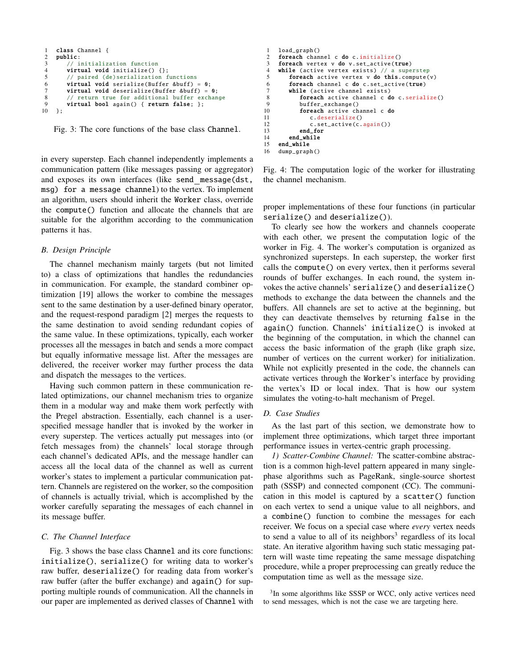```
1 class Channel {
 2 public:<br>\frac{2}{3} \frac{1}{7} \frac{1}{1}3 // initialization function<br>4 virtual void initialize()
 4 virtual void initialize() {};<br>5 // paired (de)serialization f
 5 // paired (de)serialization functions<br>6 virtual void serialize (Buffer &buff)
 6 virtual void serialize (Buffer &buff) = 0;<br>7 virtual void deserialize (Buffer &buff) = 0
           virtual void deserialize (Buffer &buff) = 0;
 8 // return true for additional buffer exchange
9 virtual bool again () { return false; };<br>10 }:
     10 };
```
Fig. 3: The core functions of the base class Channel.

in every superstep. Each channel independently implements a communication pattern (like messages passing or aggregator) and exposes its own interfaces (like send message(dst, msg) for a message channel) to the vertex. To implement an algorithm, users should inherit the Worker class, override the compute() function and allocate the channels that are suitable for the algorithm according to the communication patterns it has.

# *B. Design Principle*

The channel mechanism mainly targets (but not limited to) a class of optimizations that handles the redundancies in communication. For example, the standard combiner optimization [\[19\]](#page-10-2) allows the worker to combine the messages sent to the same destination by a user-defined binary operator, and the request-respond paradigm [\[2\]](#page-10-10) merges the requests to the same destination to avoid sending redundant copies of the same value. In these optimizations, typically, each worker processes all the messages in batch and sends a more compact but equally informative message list. After the messages are delivered, the receiver worker may further process the data and dispatch the messages to the vertices.

Having such common pattern in these communication related optimizations, our channel mechanism tries to organize them in a modular way and make them work perfectly with the Pregel abstraction. Essentially, each channel is a userspecified message handler that is invoked by the worker in every superstep. The vertices actually put messages into (or fetch messages from) the channels' local storage through each channel's dedicated APIs, and the message handler can access all the local data of the channel as well as current worker's states to implement a particular communication pattern. Channels are registered on the worker, so the composition of channels is actually trivial, which is accomplished by the worker carefully separating the messages of each channel in its message buffer.

#### *C. The Channel Interface*

[Fig. 3](#page-4-1) shows the base class Channel and its core functions: initialize(), serialize() for writing data to worker's raw buffer, deserialize() for reading data from worker's raw buffer (after the buffer exchange) and again() for supporting multiple rounds of communication. All the channels in our paper are implemented as derived classes of Channel with

```
1 load_graph()<br>2 foreach chan
2 foreach channel c do c.initialize()<br>3 foreach vertex y do y set active(tr
      foreach vertex v do v. set_active (true)
4 while (active vertex exists) // a superstep<br>5 foreach active vertex y do this compute
          foreach active vertex v do this.compute(v)
6 foreach channel c do c.set_active (true)<br>7 while (active channel exists)
7 while (active channel exists)<br>8 foreach active channel c d
8 foreach active channel c do c.serialize() \frac{9}{2}9 buffer_exchange()<br>10 foreach active ch
               foreach active channel c do
11 c.deserialize()<br>12 c.set_active(c.
                   c.set_active(c.again())
13 end_for<br>14 end_while
14 end_while<br>15 end_while
15 end_while<br>16 dump grap
     dump_graph()
```
Fig. 4: The computation logic of the worker for illustrating the channel mechanism.

proper implementations of these four functions (in particular serialize() and deserialize()).

To clearly see how the workers and channels cooperate with each other, we present the computation logic of the worker in [Fig. 4.](#page-4-2) The worker's computation is organized as synchronized supersteps. In each superstep, the worker first calls the compute() on every vertex, then it performs several rounds of buffer exchanges. In each round, the system invokes the active channels' serialize() and deserialize() methods to exchange the data between the channels and the buffers. All channels are set to active at the beginning, but they can deactivate themselves by returning false in the again() function. Channels' initialize() is invoked at the beginning of the computation, in which the channel can access the basic information of the graph (like graph size, number of vertices on the current worker) for initialization. While not explicitly presented in the code, the channels can activate vertices through the Worker's interface by providing the vertex's ID or local index. That is how our system simulates the voting-to-halt mechanism of Pregel.

#### <span id="page-4-0"></span>*D. Case Studies*

As the last part of this section, we demonstrate how to implement three optimizations, which target three important performance issues in vertex-centric graph processing.

<span id="page-4-4"></span>*1) Scatter-Combine Channel:* The scatter-combine abstraction is a common high-level pattern appeared in many singlephase algorithms such as PageRank, single-source shortest path (SSSP) and connected component (CC). The communication in this model is captured by a scatter() function on each vertex to send a unique value to all neighbors, and a combine() function to combine the messages for each receiver. We focus on a special case where *every* vertex needs to send a value to all of its neighbors<sup>[3](#page-4-3)</sup> regardless of its local state. An iterative algorithm having such static messaging pattern will waste time repeating the same message dispatching procedure, while a proper preprocessing can greatly reduce the computation time as well as the message size.

<span id="page-4-3"></span><sup>3</sup>In some algorithms like SSSP or WCC, only active vertices need to send messages, which is not the case we are targeting here.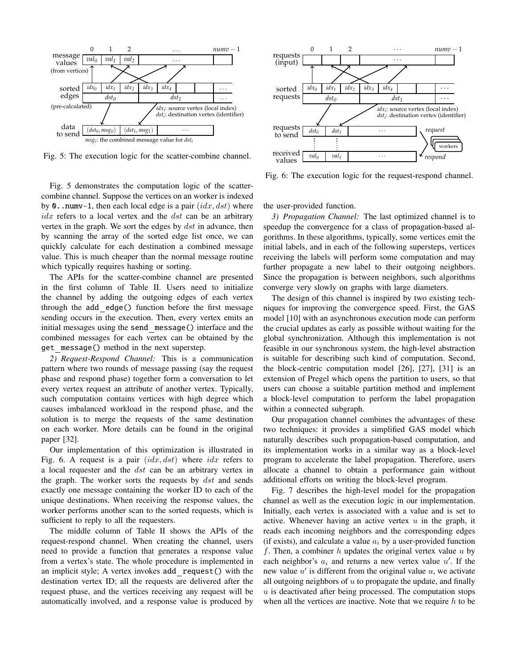<span id="page-5-0"></span>

Fig. 5: The execution logic for the scatter-combine channel.

[Fig. 5](#page-5-0) demonstrates the computation logic of the scattercombine channel. Suppose the vertices on an worker is indexed by 0. numv-1, then each local edge is a pair  $(idx, dst)$  where  $idx$  refers to a local vertex and the  $dst$  can be an arbitrary vertex in the graph. We sort the edges by  $dst$  in advance, then by scanning the array of the sorted edge list once, we can quickly calculate for each destination a combined message value. This is much cheaper than the normal message routine which typically requires hashing or sorting.

The APIs for the scatter-combine channel are presented in the first column of [Table II.](#page-2-1) Users need to initialize the channel by adding the outgoing edges of each vertex through the add edge() function before the first message sending occurs in the execution. Then, every vertex emits an initial messages using the send message() interface and the combined messages for each vertex can be obtained by the get message() method in the next superstep.

*2) Request-Respond Channel:* This is a communication pattern where two rounds of message passing (say the request phase and respond phase) together form a conversation to let every vertex request an attribute of another vertex. Typically, such computation contains vertices with high degree which causes imbalanced workload in the respond phase, and the solution is to merge the requests of the same destination on each worker. More details can be found in the original paper [\[32\]](#page-10-12).

Our implementation of this optimization is illustrated in [Fig. 6.](#page-5-1) A request is a pair  $(idx, dst)$  where  $idx$  refers to a local requester and the dst can be an arbitrary vertex in the graph. The worker sorts the requests by  $dst$  and sends exactly one message containing the worker ID to each of the unique destinations. When receiving the response values, the worker performs another scan to the sorted requests, which is sufficient to reply to all the requesters.

The middle column of [Table II](#page-2-1) shows the APIs of the request-respond channel. When creating the channel, users need to provide a function that generates a response value from a vertex's state. The whole procedure is implemented in an implicit style; A vertex invokes add request() with the destination vertex ID; all the requests are delivered after the request phase, and the vertices receiving any request will be automatically involved, and a response value is produced by

<span id="page-5-1"></span>

Fig. 6: The execution logic for the request-respond channel.

the user-provided function.

*3) Propagation Channel:* The last optimized channel is to speedup the convergence for a class of propagation-based algorithms. In these algorithms, typically, some vertices emit the initial labels, and in each of the following supersteps, vertices receiving the labels will perform some computation and may further propagate a new label to their outgoing neighbors. Since the propagation is between neighbors, such algorithms converge very slowly on graphs with large diameters.

The design of this channel is inspired by two existing techniques for improving the convergence speed. First, the GAS model [\[10\]](#page-10-11) with an asynchronous execution mode can perform the crucial updates as early as possible without waiting for the global synchronization. Although this implementation is not feasible in our synchronous system, the high-level abstraction is suitable for describing such kind of computation. Second, the block-centric computation model [\[26\]](#page-10-14), [\[27\]](#page-10-15), [\[31\]](#page-10-16) is an extension of Pregel which opens the partition to users, so that users can choose a suitable partition method and implement a block-level computation to perform the label propagation within a connected subgraph.

Our propagation channel combines the advantages of these two techniques: it provides a simplified GAS model which naturally describes such propagation-based computation, and its implementation works in a similar way as a block-level program to accelerate the label propagation. Therefore, users allocate a channel to obtain a performance gain without additional efforts on writing the block-level program.

[Fig. 7](#page-6-2) describes the high-level model for the propagation channel as well as the execution logic in our implementation. Initially, each vertex is associated with a value and is set to active. Whenever having an active vertex  $u$  in the graph, it reads each incoming neighbors and the corresponding edges (if exists), and calculate a value  $a_i$  by a user-provided function f. Then, a combiner h updates the original vertex value  $u$  by each neighbor's  $a_i$  and returns a new vertex value  $u'$ . If the new value  $u'$  is different from the original value  $u$ , we activate all outgoing neighbors of  $u$  to propagate the update, and finally  $u$  is deactivated after being processed. The computation stops when all the vertices are inactive. Note that we require  $h$  to be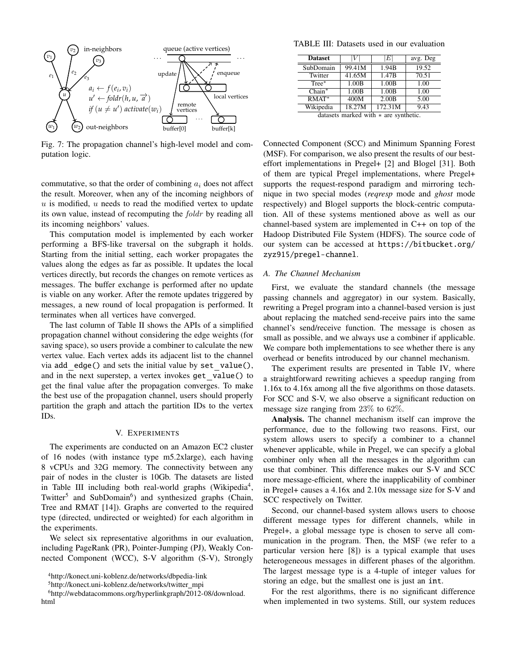<span id="page-6-2"></span>

Fig. 7: The propagation channel's high-level model and computation logic.

commutative, so that the order of combining  $a_i$  does not affect the result. Moreover, when any of the incoming neighbors of  $u$  is modified,  $u$  needs to read the modified vertex to update its own value, instead of recomputing the *foldr* by reading all its incoming neighbors' values.

This computation model is implemented by each worker performing a BFS-like traversal on the subgraph it holds. Starting from the initial setting, each worker propagates the values along the edges as far as possible. It updates the local vertices directly, but records the changes on remote vertices as messages. The buffer exchange is performed after no update is viable on any worker. After the remote updates triggered by messages, a new round of local propagation is performed. It terminates when all vertices have converged.

The last column of [Table II](#page-2-1) shows the APIs of a simplified propagation channel without considering the edge weights (for saving space), so users provide a combiner to calculate the new vertex value. Each vertex adds its adjacent list to the channel via add edge() and sets the initial value by set value(), and in the next superstep, a vertex invokes get value() to get the final value after the propagation converges. To make the best use of the propagation channel, users should properly partition the graph and attach the partition IDs to the vertex IDs.

#### V. EXPERIMENTS

<span id="page-6-0"></span>The experiments are conducted on an Amazon EC2 cluster of 16 nodes (with instance type m5.2xlarge), each having 8 vCPUs and 32G memory. The connectivity between any pair of nodes in the cluster is 10Gb. The datasets are listed in [Table III](#page-6-3) including both real-world graphs (Wikipedia<sup>[4](#page-6-4)</sup>, Twitter<sup>[5](#page-6-5)</sup> and SubDomain<sup>[6](#page-6-6)</sup>) and synthesized graphs (Chain, Tree and RMAT [\[14\]](#page-10-21)). Graphs are converted to the required type (directed, undirected or weighted) for each algorithm in the experiments.

We select six representative algorithms in our evaluation, including PageRank (PR), Pointer-Jumping (PJ), Weakly Connected Component (WCC), S-V algorithm (S-V), Strongly

<span id="page-6-6"></span><span id="page-6-5"></span><sup>5</sup>[http://konect.uni-koblenz.de/networks/twitter](http://konect.uni-koblenz.de/networks/twitter_mpi)\_mpi

<span id="page-6-3"></span>TABLE III: Datasets used in our evaluation

| <b>Dataset</b>              |                                         | Е       | avg. Deg |  |  |  |  |
|-----------------------------|-----------------------------------------|---------|----------|--|--|--|--|
| SubDomain                   | 99.41M                                  | 1.94B   | 19.52    |  |  |  |  |
| Twitter                     | 41.65M                                  | 1.47B   | 70.51    |  |  |  |  |
| Tree*                       | 1.00B                                   | 1.00B   | 1.00     |  |  |  |  |
| $\overline{\text{Chain}}^*$ | 1.00B                                   | 1.00B   | 1.00     |  |  |  |  |
| $RMAT*$                     | 400M                                    | 2.00B   | 5.00     |  |  |  |  |
| Wikipedia                   | 18.27M                                  | 172.31M | 9.43     |  |  |  |  |
|                             | datasets marked with<br>* are synthetic |         |          |  |  |  |  |

datasets marked with ∗ are synthetic.

Connected Component (SCC) and Minimum Spanning Forest (MSF). For comparison, we also present the results of our besteffort implementations in Pregel+ [\[2\]](#page-10-10) and Blogel [\[31\]](#page-10-16). Both of them are typical Pregel implementations, where Pregel+ supports the request-respond paradigm and mirroring technique in two special modes (*reqresp* mode and *ghost* mode respectively) and Blogel supports the block-centric computation. All of these systems mentioned above as well as our channel-based system are implemented in C++ on top of the Hadoop Distributed File System (HDFS). The source code of our system can be accessed at [https://bitbucket.org/](https://bitbucket.org/zyz915/pregel-channel) [zyz915/pregel-channel](https://bitbucket.org/zyz915/pregel-channel).

## <span id="page-6-1"></span>*A. The Channel Mechanism*

First, we evaluate the standard channels (the message passing channels and aggregator) in our system. Basically, rewriting a Pregel program into a channel-based version is just about replacing the matched send-receive pairs into the same channel's send/receive function. The message is chosen as small as possible, and we always use a combiner if applicable. We compare both implementations to see whether there is any overhead or benefits introduced by our channel mechanism.

The experiment results are presented in [Table IV,](#page-7-1) where a straightforward rewriting achieves a speedup ranging from 1.16x to 4.16x among all the five algorithms on those datasets. For SCC and S-V, we also observe a significant reduction on message size ranging from 23% to 62%.

Analysis. The channel mechanism itself can improve the performance, due to the following two reasons. First, our system allows users to specify a combiner to a channel whenever applicable, while in Pregel, we can specify a global combiner only when all the messages in the algorithm can use that combiner. This difference makes our S-V and SCC more message-efficient, where the inapplicability of combiner in Pregel+ causes a 4.16x and 2.10x message size for S-V and SCC respectively on Twitter.

Second, our channel-based system allows users to choose different message types for different channels, while in Pregel+, a global message type is chosen to serve all communication in the program. Then, the MSF (we refer to a particular version here [\[8\]](#page-10-22)) is a typical example that uses heterogeneous messages in different phases of the algorithm. The largest message type is a 4-tuple of integer values for storing an edge, but the smallest one is just an int.

For the rest algorithms, there is no significant difference when implemented in two systems. Still, our system reduces

<span id="page-6-4"></span><sup>4</sup><http://konect.uni-koblenz.de/networks/dbpedia-link>

<sup>6</sup>[http://webdatacommons.org/hyperlinkgraph/2012-08/download.](http://webdatacommons.org/hyperlinkgraph/2012-08/download.html) [html](http://webdatacommons.org/hyperlinkgraph/2012-08/download.html)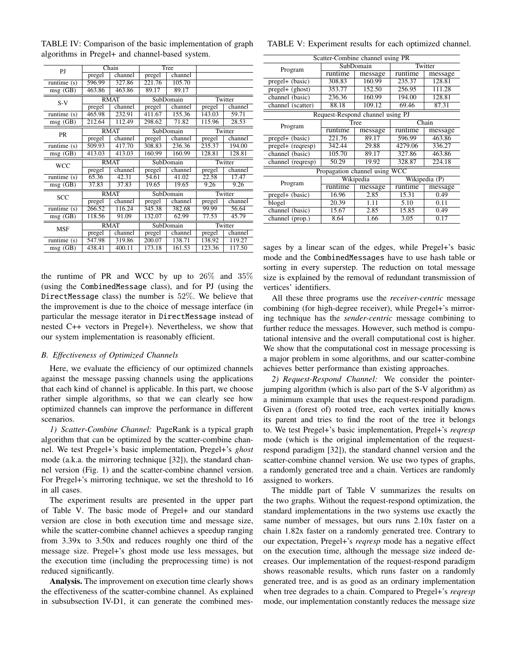| PI            | Chain            |                  |                  | Tree             |                  |                  |  |
|---------------|------------------|------------------|------------------|------------------|------------------|------------------|--|
|               | pregel           | channel          | pregel           | channel          |                  |                  |  |
| runtime $(s)$ | 596.99           | 327.86           | 221.76           | 105.70           |                  |                  |  |
| $msg$ (GB)    | 463.86           | 463.86           | 89.17            | 89.17            |                  |                  |  |
| $S-V$         | <b>RMAT</b>      |                  | SubDomain        |                  | Twitter          |                  |  |
|               | pregel           | channel          | pregel           | channel          | pregel           | channel          |  |
| runtime $(s)$ | 465.98           | 232.91           | 411.67           | 155.36           | 143.03           | 59.71            |  |
| $msg$ (GB)    | 212.64           | 112.49           | 298.62           | 71.82            | 115.96           | 28.53            |  |
| <b>PR</b>     | <b>RMAT</b>      |                  |                  | SubDomain        |                  | Twitter          |  |
|               | pregel           | channel          | pregel           | channel          | pregel           | channel          |  |
| runtime $(s)$ | 509.93           | 417.70           | 308.83           | 236.36           | 235.37           | 194.00           |  |
| $msg$ (GB)    | 413.03           | 413.03           | 160.99           | 160.99           | 128.81           | 128.81           |  |
|               |                  |                  |                  |                  |                  |                  |  |
|               |                  | <b>RMAT</b>      |                  | SubDomain        |                  | Twitter          |  |
| <b>WCC</b>    | pregel           | channel          | pregel           | channel          | pregel           | channel          |  |
| runtime $(s)$ | 65.36            | 42.31            | 54.61            | 41.02            | 22.58            | 17.47            |  |
| $msg$ $(GB)$  | 37.83            | 37.83            | 19.65            | 19.65            | 9.26             | 9.26             |  |
|               |                  | <b>RMAT</b>      |                  | SubDomain        |                  | Twitter          |  |
| <b>SCC</b>    | pregel           | channel          | pregel           | channel          | pregel           | channel          |  |
| runtime $(s)$ | 266.52           | 116.24           | 345.38           | 382.68           | 99.99            | 56.64            |  |
| $msg$ (GB)    | 118.56           | 91.09            | 132.07           | 62.99            | 77.53            | 45.79            |  |
|               |                  | <b>RMAT</b>      |                  | SubDomain        |                  | Twitter          |  |
| <b>MSF</b>    | pregel           | channel          | pregel           | channel          | pregel           | channel          |  |
| runtime $(s)$ | 547.98<br>438.41 | 319.86<br>400.11 | 200.07<br>173.18 | 138.71<br>161.53 | 138.92<br>123.36 | 119.27<br>117.50 |  |

<span id="page-7-1"></span>TABLE IV: Comparison of the basic implementation of graph algorithms in Pregel+ and channel-based system.

the runtime of PR and WCC by up to  $26\%$  and  $35\%$ (using the CombinedMessage class), and for PJ (using the DirectMessage class) the number is 52%. We believe that the improvement is due to the choice of message interface (in particular the message iterator in DirectMessage instead of nested C++ vectors in Pregel+). Nevertheless, we show that our system implementation is reasonably efficient.

# *B. Effectiveness of Optimized Channels*

Here, we evaluate the efficiency of our optimized channels against the message passing channels using the applications that each kind of channel is applicable. In this part, we choose rather simple algorithms, so that we can clearly see how optimized channels can improve the performance in different scenarios.

<span id="page-7-0"></span>*1) Scatter-Combine Channel:* PageRank is a typical graph algorithm that can be optimized by the scatter-combine channel. We test Pregel+'s basic implementation, Pregel+'s *ghost* mode (a.k.a. the mirroring technique [\[32\]](#page-10-12)), the standard channel version [\(Fig. 1\)](#page-2-2) and the scatter-combine channel version. For Pregel+'s mirroring technique, we set the threshold to 16 in all cases.

The experiment results are presented in the upper part of [Table V.](#page-7-2) The basic mode of Pregel+ and our standard version are close in both execution time and message size, while the scatter-combine channel achieves a speedup ranging from 3.39x to 3.50x and reduces roughly one third of the message size. Pregel+'s ghost mode use less messages, but the execution time (including the preprocessing time) is not reduced significantly.

Analysis. The improvement on execution time clearly shows the effectiveness of the scatter-combine channel. As explained in [subsubsection IV-D1,](#page-4-4) it can generate the combined mes-

<span id="page-7-2"></span>TABLE V: Experiment results for each optimized channel.

|                   |           | Scatter-Combine channel using PR |               |         |  |  |  |
|-------------------|-----------|----------------------------------|---------------|---------|--|--|--|
| Program           |           | SubDomain                        | Twitter       |         |  |  |  |
|                   | runtime   | message                          | runtime       | message |  |  |  |
| pregel+ (basic)   | 308.83    | 160.99                           | 235.37        | 128.81  |  |  |  |
| $pregel+ (ghost)$ | 353.77    | 152.50                           | 256.95        | 111.28  |  |  |  |
| channel (basic)   | 236.36    | 160.99                           | 194.00        | 128.81  |  |  |  |
| channel (scatter) | 88.18     | 109.12                           | 69.46         | 87.31   |  |  |  |
|                   |           | Request-Respond channel using PJ |               |         |  |  |  |
| Program           |           | Tree                             | Chain         |         |  |  |  |
|                   | runtime   | message                          | runtime       | message |  |  |  |
| pregel+ (basic)   | 221.76    | 89.17                            | 596.99        | 463.86  |  |  |  |
| pregel+ (reqresp) | 342.44    | 29.88                            | 4279.06       | 336.27  |  |  |  |
| channel (basic)   | 105.70    | 89.17                            | 327.86        | 463.86  |  |  |  |
| channel (regresp) | 50.29     | 19.92                            | 328.87        | 224.18  |  |  |  |
|                   |           | Propagation channel using WCC    |               |         |  |  |  |
|                   | Wikipedia |                                  | Wikipedia (P) |         |  |  |  |
| Program           | runtime   | message                          | runtime       | message |  |  |  |
| pregel+ (basic)   | 16.96     | 2.85                             | 15.31         | 0.49    |  |  |  |
| blogel            | 20.39     | 1.11                             | 5.10          | 0.11    |  |  |  |
| channel (basic)   | 15.67     | 2.85                             | 15.85         | 0.49    |  |  |  |
| channel (prop.)   | 8.64      | 1.66                             | 3.05          | 0.17    |  |  |  |
|                   |           |                                  |               |         |  |  |  |

sages by a linear scan of the edges, while Pregel+'s basic mode and the CombinedMessages have to use hash table or sorting in every superstep. The reduction on total message size is explained by the removal of redundant transmission of vertices' identifiers.

All these three programs use the *receiver-centric* message combining (for high-degree receiver), while Pregel+'s mirroring technique has the *sender-centric* message combining to further reduce the messages. However, such method is computational intensive and the overall computational cost is higher. We show that the computational cost in message processing is a major problem in some algorithms, and our scatter-combine achieves better performance than existing approaches.

*2) Request-Respond Channel:* We consider the pointerjumping algorithm (which is also part of the S-V algorithm) as a minimum example that uses the request-respond paradigm. Given a (forest of) rooted tree, each vertex initially knows its parent and tries to find the root of the tree it belongs to. We test Pregel+'s basic implementation, Pregel+'s *reqresp* mode (which is the original implementation of the requestrespond paradigm [\[32\]](#page-10-12)), the standard channel version and the scatter-combine channel version. We use two types of graphs, a randomly generated tree and a chain. Vertices are randomly assigned to workers.

The middle part of [Table V](#page-7-2) summarizes the results on the two graphs. Without the request-respond optimization, the standard implementations in the two systems use exactly the same number of messages, but ours runs 2.10x faster on a chain 1.82x faster on a randomly generated tree. Contrary to our expectation, Pregel+'s *reqresp* mode has a negative effect on the execution time, although the message size indeed decreases. Our implementation of the request-respond paradigm shows reasonable results, which runs faster on a randomly generated tree, and is as good as an ordinary implementation when tree degrades to a chain. Compared to Pregel+'s *reqresp* mode, our implementation constantly reduces the message size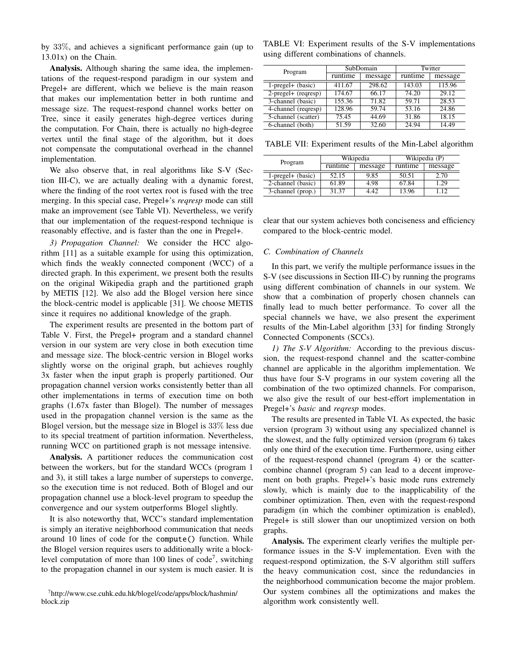by 33%, and achieves a significant performance gain (up to 13.01x) on the Chain.

Analysis. Although sharing the same idea, the implementations of the request-respond paradigm in our system and Pregel+ are different, which we believe is the main reason that makes our implementation better in both runtime and message size. The request-respond channel works better on Tree, since it easily generates high-degree vertices during the computation. For Chain, there is actually no high-degree vertex until the final stage of the algorithm, but it does not compensate the computational overhead in the channel implementation.

We also observe that, in real algorithms like S-V [\(Sec](#page-3-1)[tion III-C\)](#page-3-1), we are actually dealing with a dynamic forest, where the finding of the root vertex root is fused with the tree merging. In this special case, Pregel+'s *reqresp* mode can still make an improvement (see [Table VI\)](#page-8-0). Nevertheless, we verify that our implementation of the request-respond technique is reasonably effective, and is faster than the one in Pregel+.

*3) Propagation Channel:* We consider the HCC algorithm [\[11\]](#page-10-23) as a suitable example for using this optimization, which finds the weakly connected component (WCC) of a directed graph. In this experiment, we present both the results on the original Wikipedia graph and the partitioned graph by METIS [\[12\]](#page-10-24). We also add the Blogel version here since the block-centric model is applicable [\[31\]](#page-10-16). We choose METIS since it requires no additional knowledge of the graph.

The experiment results are presented in the bottom part of [Table V.](#page-7-2) First, the Pregel+ program and a standard channel version in our system are very close in both execution time and message size. The block-centric version in Blogel works slightly worse on the original graph, but achieves roughly 3x faster when the input graph is properly partitioned. Our propagation channel version works consistently better than all other implementations in terms of execution time on both graphs (1.67x faster than Blogel). The number of messages used in the propagation channel version is the same as the Blogel version, but the message size in Blogel is 33% less due to its special treatment of partition information. Nevertheless, running WCC on partitioned graph is not message intensive.

Analysis. A partitioner reduces the communication cost between the workers, but for the standard WCCs (program 1 and 3), it still takes a large number of supersteps to converge, so the execution time is not reduced. Both of Blogel and our propagation channel use a block-level program to speedup the convergence and our system outperforms Blogel slightly.

It is also noteworthy that, WCC's standard implementation is simply an iterative neighborhood communication that needs around 10 lines of code for the compute() function. While the Blogel version requires users to additionally write a block-level computation of more than 100 lines of code<sup>[7](#page-8-1)</sup>, switching to the propagation channel in our system is much easier. It is

<span id="page-8-0"></span>TABLE VI: Experiment results of the S-V implementations using different combinations of channels.

| Program                 |                    | SubDomain | Twitter            |        |  |
|-------------------------|--------------------|-----------|--------------------|--------|--|
|                         | runtime<br>message |           | runtime<br>message |        |  |
| $1$ -pregel $+$ (basic) | 411.67             | 298.62    | 143.03             | 115.96 |  |
| $2$ -pregel + (reqresp) | 174.67             | 66.17     | 74.20              | 29.12  |  |
| 3-channel (basic)       | 155.36             | 71.82     | 59.71              | 28.53  |  |
| 4-channel (regresp)     | 128.96             | 59.74     | 53.16              | 24.86  |  |
| 5-channel (scatter)     | 75.45              | 44.69     | 31.86              | 18.15  |  |
| 6-channel (both)        | 51.59              | 32.60     | 24.94              | 14.49  |  |

<span id="page-8-2"></span>TABLE VII: Experiment results of the Min-Label algorithm

| Program                 |         | Wikipedia | Wikipedia (P) |         |  |
|-------------------------|---------|-----------|---------------|---------|--|
|                         | runtime | message   | runtime       | message |  |
| $1$ -pregel $+$ (basic) | 52.15   | 9.85      | 50.51         | 2.70    |  |
| 2-channel (basic)       | 61.89   | 4.98      | 67.84         | .29     |  |
| 3-channel (prop.)       | 31.37   | $+42$     | 13.96         |         |  |

clear that our system achieves both conciseness and efficiency compared to the block-centric model.

## *C. Combination of Channels*

In this part, we verify the multiple performance issues in the S-V (see discussions in [Section III-C\)](#page-3-1) by running the programs using different combination of channels in our system. We show that a combination of properly chosen channels can finally lead to much better performance. To cover all the special channels we have, we also present the experiment results of the Min-Label algorithm [\[33\]](#page-10-6) for finding Strongly Connected Components (SCCs).

*1) The S-V Algorithm:* According to the previous discussion, the request-respond channel and the scatter-combine channel are applicable in the algorithm implementation. We thus have four S-V programs in our system covering all the combination of the two optimized channels. For comparison, we also give the result of our best-effort implementation in Pregel+'s *basic* and *reqresp* modes.

The results are presented in [Table VI.](#page-8-0) As expected, the basic version (program 3) without using any specialized channel is the slowest, and the fully optimized version (program 6) takes only one third of the execution time. Furthermore, using either of the request-respond channel (program 4) or the scattercombine channel (program 5) can lead to a decent improvement on both graphs. Pregel+'s basic mode runs extremely slowly, which is mainly due to the inapplicability of the combiner optimization. Then, even with the request-respond paradigm (in which the combiner optimization is enabled), Pregel+ is still slower than our unoptimized version on both graphs.

Analysis. The experiment clearly verifies the multiple performance issues in the S-V implementation. Even with the request-respond optimization, the S-V algorithm still suffers the heavy communication cost, since the redundancies in the neighborhood communication become the major problem. Our system combines all the optimizations and makes the algorithm work consistently well.

<span id="page-8-1"></span><sup>7</sup>[http://www.cse.cuhk.edu.hk/blogel/code/apps/block/hashmin/](http://www.cse.cuhk.edu.hk/blogel/code/apps/block/hashmin/block.zip) [block.zip](http://www.cse.cuhk.edu.hk/blogel/code/apps/block/hashmin/block.zip)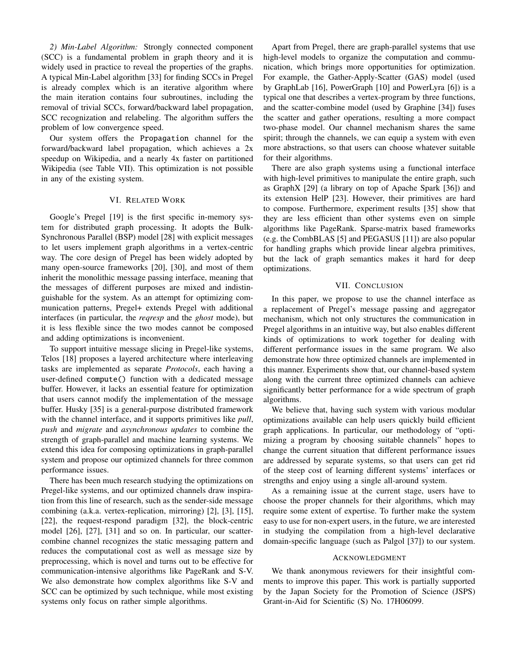*2) Min-Label Algorithm:* Strongly connected component (SCC) is a fundamental problem in graph theory and it is widely used in practice to reveal the properties of the graphs. A typical Min-Label algorithm [\[33\]](#page-10-6) for finding SCCs in Pregel is already complex which is an iterative algorithm where the main iteration contains four subroutines, including the removal of trivial SCCs, forward/backward label propagation, SCC recognization and relabeling. The algorithm suffers the problem of low convergence speed.

Our system offers the Propagation channel for the forward/backward label propagation, which achieves a 2x speedup on Wikipedia, and a nearly 4x faster on partitioned Wikipedia (see [Table VII\)](#page-8-2). This optimization is not possible in any of the existing system.

# VI. RELATED WORK

<span id="page-9-0"></span>Google's Pregel [\[19\]](#page-10-2) is the first specific in-memory system for distributed graph processing. It adopts the Bulk-Synchronous Parallel (BSP) model [\[28\]](#page-10-3) with explicit messages to let users implement graph algorithms in a vertex-centric way. The core design of Pregel has been widely adopted by many open-source frameworks [\[20\]](#page-10-0), [\[30\]](#page-10-1), and most of them inherit the monolithic message passing interface, meaning that the messages of different purposes are mixed and indistinguishable for the system. As an attempt for optimizing communication patterns, Pregel+ extends Pregel with additional interfaces (in particular, the *reqresp* and the *ghost* mode), but it is less flexible since the two modes cannot be composed and adding optimizations is inconvenient.

To support intuitive message slicing in Pregel-like systems, Telos [\[18\]](#page-10-25) proposes a layered architecture where interleaving tasks are implemented as separate *Protocols*, each having a user-defined compute() function with a dedicated message buffer. However, it lacks an essential feature for optimization that users cannot modify the implementation of the message buffer. Husky [\[35\]](#page-10-19) is a general-purpose distributed framework with the channel interface, and it supports primitives like *pull*, *push* and *migrate* and *asynchronous updates* to combine the strength of graph-parallel and machine learning systems. We extend this idea for composing optimizations in graph-parallel system and propose our optimized channels for three common performance issues.

There has been much research studying the optimizations on Pregel-like systems, and our optimized channels draw inspiration from this line of research, such as the sender-side message combining (a.k.a. vertex-replication, mirroring) [\[2\]](#page-10-10), [\[3\]](#page-10-13), [\[15\]](#page-10-26), [\[22\]](#page-10-8), the request-respond paradigm [\[32\]](#page-10-12), the block-centric model [\[26\]](#page-10-14), [\[27\]](#page-10-15), [\[31\]](#page-10-16) and so on. In particular, our scattercombine channel recognizes the static messaging pattern and reduces the computational cost as well as message size by preprocessing, which is novel and turns out to be effective for communication-intensive algorithms like PageRank and S-V. We also demonstrate how complex algorithms like S-V and SCC can be optimized by such technique, while most existing systems only focus on rather simple algorithms.

Apart from Pregel, there are graph-parallel systems that use high-level models to organize the computation and communication, which brings more opportunities for optimization. For example, the Gather-Apply-Scatter (GAS) model (used by GraphLab [\[16\]](#page-10-27), PowerGraph [\[10\]](#page-10-11) and PowerLyra [\[6\]](#page-10-28)) is a typical one that describes a vertex-program by three functions, and the scatter-combine model (used by Graphine [\[34\]](#page-10-29)) fuses the scatter and gather operations, resulting a more compact two-phase model. Our channel mechanism shares the same spirit; through the channels, we can equip a system with even more abstractions, so that users can choose whatever suitable for their algorithms.

There are also graph systems using a functional interface with high-level primitives to manipulate the entire graph, such as GraphX [\[29\]](#page-10-30) (a library on top of Apache Spark [\[36\]](#page-10-31)) and its extension HelP [\[23\]](#page-10-32). However, their primitives are hard to compose. Furthermore, experiment results [\[35\]](#page-10-19) show that they are less efficient than other systems even on simple algorithms like PageRank. Sparse-matrix based frameworks (e.g. the CombBLAS [\[5\]](#page-10-33) and PEGASUS [\[11\]](#page-10-23)) are also popular for handling graphs which provide linear algebra primitives, but the lack of graph semantics makes it hard for deep optimizations.

# VII. CONCLUSION

<span id="page-9-1"></span>In this paper, we propose to use the channel interface as a replacement of Pregel's message passing and aggregator mechanism, which not only structures the communication in Pregel algorithms in an intuitive way, but also enables different kinds of optimizations to work together for dealing with different performance issues in the same program. We also demonstrate how three optimized channels are implemented in this manner. Experiments show that, our channel-based system along with the current three optimized channels can achieve significantly better performance for a wide spectrum of graph algorithms.

We believe that, having such system with various modular optimizations available can help users quickly build efficient graph applications. In particular, our methodology of "optimizing a program by choosing suitable channels" hopes to change the current situation that different performance issues are addressed by separate systems, so that users can get rid of the steep cost of learning different systems' interfaces or strengths and enjoy using a single all-around system.

As a remaining issue at the current stage, users have to choose the proper channels for their algorithms, which may require some extent of expertise. To further make the system easy to use for non-expert users, in the future, we are interested in studying the compilation from a high-level declarative domain-specific language (such as Palgol [\[37\]](#page-10-20)) to our system.

#### ACKNOWLEDGMENT

We thank anonymous reviewers for their insightful comments to improve this paper. This work is partially supported by the Japan Society for the Promotion of Science (JSPS) Grant-in-Aid for Scientific (S) No. 17H06099.